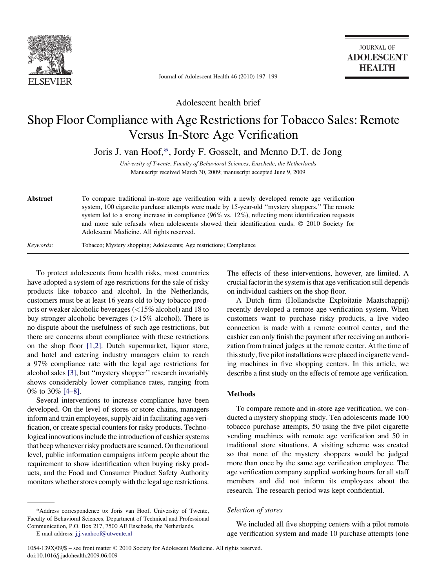

Journal of Adolescent Health 46 (2010) 197–199

Adolescent health brief

# Shop Floor Compliance with Age Restrictions for Tobacco Sales: Remote Versus In-Store Age Verification

Joris J. van Hoof,\*, Jordy F. Gosselt, and Menno D.T. de Jong

University of Twente, Faculty of Behavioral Sciences, Enschede, the Netherlands Manuscript received March 30, 2009; manuscript accepted June 9, 2009

| <b>Abstract</b> | To compare traditional in-store age verification with a newly developed remote age verification<br>system, 100 cigarette purchase attempts were made by 15-year-old "mystery shoppers." The remote<br>system led to a strong increase in compliance $(96\%$ vs. $12\%)$ , reflecting more identification requests<br>and more sale refusals when adolescents showed their identification cards. © 2010 Society for<br>Adolescent Medicine. All rights reserved. |
|-----------------|-----------------------------------------------------------------------------------------------------------------------------------------------------------------------------------------------------------------------------------------------------------------------------------------------------------------------------------------------------------------------------------------------------------------------------------------------------------------|
| Keywords:       | Tobacco; Mystery shopping; Adolescents; Age restrictions; Compliance                                                                                                                                                                                                                                                                                                                                                                                            |

To protect adolescents from health risks, most countries have adopted a system of age restrictions for the sale of risky products like tobacco and alcohol. In the Netherlands, customers must be at least 16 years old to buy tobacco products or weaker alcoholic beverages (<15% alcohol) and 18 to buy stronger alcoholic beverages  $(>15\%$  alcohol). There is no dispute about the usefulness of such age restrictions, but there are concerns about compliance with these restrictions on the shop floor [\[1,2\]](#page-2-0). Dutch supermarket, liquor store, and hotel and catering industry managers claim to reach a 97% compliance rate with the legal age restrictions for alcohol sales [\[3\]](#page-2-0), but ''mystery shopper'' research invariably shows considerably lower compliance rates, ranging from 0% to 30% [\[4–8\].](#page-2-0)

Several interventions to increase compliance have been developed. On the level of stores or store chains, managers inform and train employees, supply aid in facilitating age verification, or create special counters for risky products. Technological innovations include the introduction of cashier systems that beep whenever risky products are scanned. On the national level, public information campaigns inform people about the requirement to show identification when buying risky products, and the Food and Consumer Product Safety Authority monitors whether stores comply with the legal age restrictions. The effects of these interventions, however, are limited. A crucial factor in the system is that age verification still depends on individual cashiers on the shop floor.

A Dutch firm (Hollandsche Exploitatie Maatschappij) recently developed a remote age verification system. When customers want to purchase risky products, a live video connection is made with a remote control center, and the cashier can only finish the payment after receiving an authorization from trained judges at the remote center. At the time of this study, five pilot installations were placed in cigarette vending machines in five shopping centers. In this article, we describe a first study on the effects of remote age verification.

### Methods

To compare remote and in-store age verification, we conducted a mystery shopping study. Ten adolescents made 100 tobacco purchase attempts, 50 using the five pilot cigarette vending machines with remote age verification and 50 in traditional store situations. A visiting scheme was created so that none of the mystery shoppers would be judged more than once by the same age verification employee. The age verification company supplied working hours for all staff members and did not inform its employees about the research. The research period was kept confidential.

## Selection of stores

We included all five shopping centers with a pilot remote age verification system and made 10 purchase attempts (one

<sup>\*</sup>Address correspondence to: Joris van Hoof, University of Twente, Faculty of Behavioral Sciences, Department of Technical and Professional Communication, P.O. Box 217, 7500 AE Enschede, the Netherlands.

E-mail address: [j.j.vanhoof@utwente.nl](mailto:j.j.vanhoof@utwente.nl)

<sup>1054-139</sup>X/09/\$ - see front matter  $\odot$  2010 Society for Adolescent Medicine. All rights reserved. doi:10.1016/j.jadohealth.2009.06.009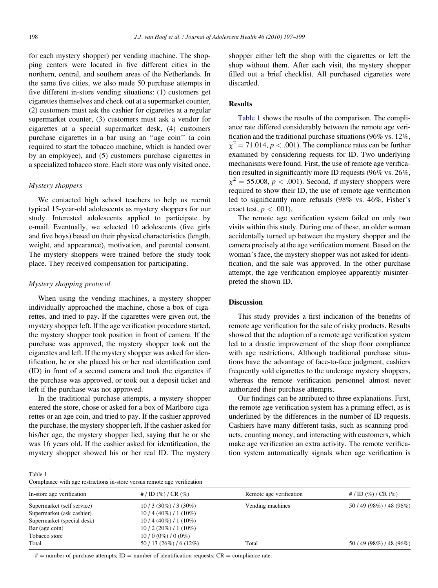for each mystery shopper) per vending machine. The shopping centers were located in five different cities in the northern, central, and southern areas of the Netherlands. In the same five cities, we also made 50 purchase attempts in five different in-store vending situations: (1) customers get cigarettes themselves and check out at a supermarket counter, (2) customers must ask the cashier for cigarettes at a regular supermarket counter, (3) customers must ask a vendor for cigarettes at a special supermarket desk, (4) customers purchase cigarettes in a bar using an ''age coin'' (a coin required to start the tobacco machine, which is handed over by an employee), and (5) customers purchase cigarettes in a specialized tobacco store. Each store was only visited once.

# Mystery shoppers

We contacted high school teachers to help us recruit typical 15-year-old adolescents as mystery shoppers for our study. Interested adolescents applied to participate by e-mail. Eventually, we selected 10 adolescents (five girls and five boys) based on their physical characteristics (length, weight, and appearance), motivation, and parental consent. The mystery shoppers were trained before the study took place. They received compensation for participating.

### Mystery shopping protocol

When using the vending machines, a mystery shopper individually approached the machine, chose a box of cigarettes, and tried to pay. If the cigarettes were given out, the mystery shopper left. If the age verification procedure started, the mystery shopper took position in front of camera. If the purchase was approved, the mystery shopper took out the cigarettes and left. If the mystery shopper was asked for identification, he or she placed his or her real identification card (ID) in front of a second camera and took the cigarettes if the purchase was approved, or took out a deposit ticket and left if the purchase was not approved.

In the traditional purchase attempts, a mystery shopper entered the store, chose or asked for a box of Marlboro cigarettes or an age coin, and tried to pay. If the cashier approved the purchase, the mystery shopper left. If the cashier asked for his/her age, the mystery shopper lied, saying that he or she was 16 years old. If the cashier asked for identification, the mystery shopper showed his or her real ID. The mystery

shopper either left the shop with the cigarettes or left the shop without them. After each visit, the mystery shopper filled out a brief checklist. All purchased cigarettes were discarded.

#### **Results**

Table 1 shows the results of the comparison. The compliance rate differed considerably between the remote age verification and the traditional purchase situations (96% vs. 12%,  $\chi^2$  = 71.014, p < .001). The compliance rates can be further examined by considering requests for ID. Two underlying mechanisms were found. First, the use of remote age verification resulted in significantly more ID requests (96% vs. 26%,  $\chi^2$  = 55.008, p < .001). Second, if mystery shoppers were required to show their ID, the use of remote age verification led to significantly more refusals (98% vs. 46%, Fisher's exact test,  $p < .001$ ).

The remote age verification system failed on only two visits within this study. During one of these, an older woman accidentally turned up between the mystery shopper and the camera precisely at the age verification moment. Based on the woman's face, the mystery shopper was not asked for identification, and the sale was approved. In the other purchase attempt, the age verification employee apparently misinterpreted the shown ID.

# **Discussion**

This study provides a first indication of the benefits of remote age verification for the sale of risky products. Results showed that the adoption of a remote age verification system led to a drastic improvement of the shop floor compliance with age restrictions. Although traditional purchase situations have the advantage of face-to-face judgment, cashiers frequently sold cigarettes to the underage mystery shoppers, whereas the remote verification personnel almost never authorized their purchase attempts.

Our findings can be attributed to three explanations. First, the remote age verification system has a priming effect, as is underlined by the differences in the number of ID requests. Cashiers have many different tasks, such as scanning products, counting money, and interacting with customers, which make age verification an extra activity. The remote verification system automatically signals when age verification is

Table 1

|  | Compliance with age restrictions in-store versus remote age verification |  |  |
|--|--------------------------------------------------------------------------|--|--|
|--|--------------------------------------------------------------------------|--|--|

| In-store age verification  | # / ID $(\%)$ / CR $(\%)$ | Remote age verification | # / ID $(\%)$ / CR $(\%)$ |
|----------------------------|---------------------------|-------------------------|---------------------------|
| Supermarket (self service) | $10/3$ (30%) / 3 (30%)    | Vending machines        | 50/49 (98%)/48 (96%)      |
| Supermarket (ask cashier)  | $10/4(40\%)/1(10\%)$      |                         |                           |
| Supermarket (special desk) | $10/4(40\%)/1(10\%)$      |                         |                           |
| Bar (age coin)             | $10/2(20\%)/1(10\%)$      |                         |                           |
| Tobacco store              | $10/0$ (0%) / 0 (0%)      |                         |                           |
| Total                      | 50/13(26%)/6(12%)         | Total                   | 50/49(98%)/48(96%)        |

 $# =$  number of purchase attempts; ID = number of identification requests;  $CR =$  compliance rate.